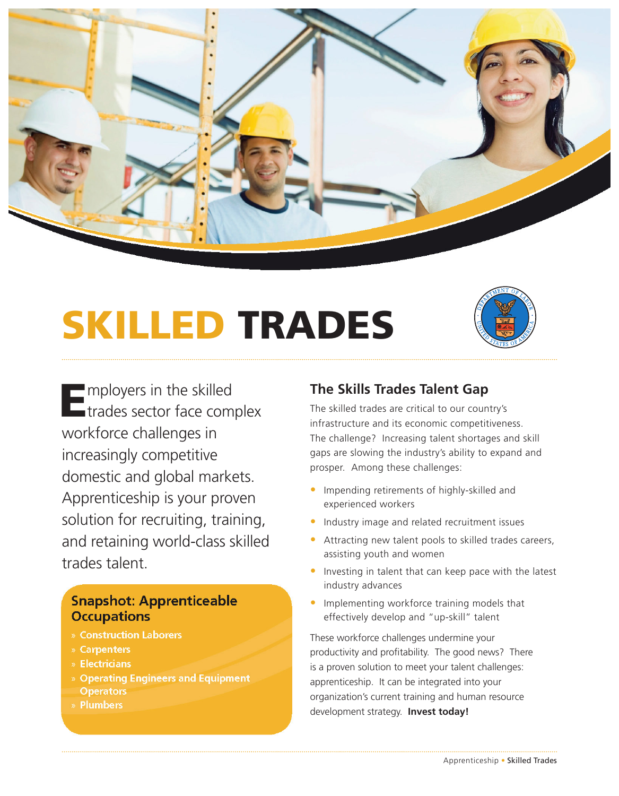

# SKILLED TRADES



Employers in the skilled<br>Etrades sector face complex workforce challenges in increasingly competitive domestic and global markets. Apprenticeship is your proven solution for recruiting, training, and retaining world-class skilled trades talent.

### **Snapshot: Apprenticeable Occupations**

- Construction Laborers
- Carpenters
- Electricians
- Operating Engineers and Equipment **Operators**
- Plumbers

## **The Skills Trades Talent Gap**

The skilled trades are critical to our country's infrastructure and its economic competitiveness. The challenge? Increasing talent shortages and skill gaps are slowing the industry's ability to expand and prosper. Among these challenges:

- Impending retirements of highly-skilled and experienced workers
- Industry image and related recruitment issues
- Attracting new talent pools to skilled trades careers, assisting youth and women
- Investing in talent that can keep pace with the latest industry advances
- Implementing workforce training models that effectively develop and "up-skill" talent

These workforce challenges undermine your productivity and profitability. The good news? There is a proven solution to meet your talent challenges: apprenticeship. It can be integrated into your organization's current training and human resource development strategy. **Invest today!**